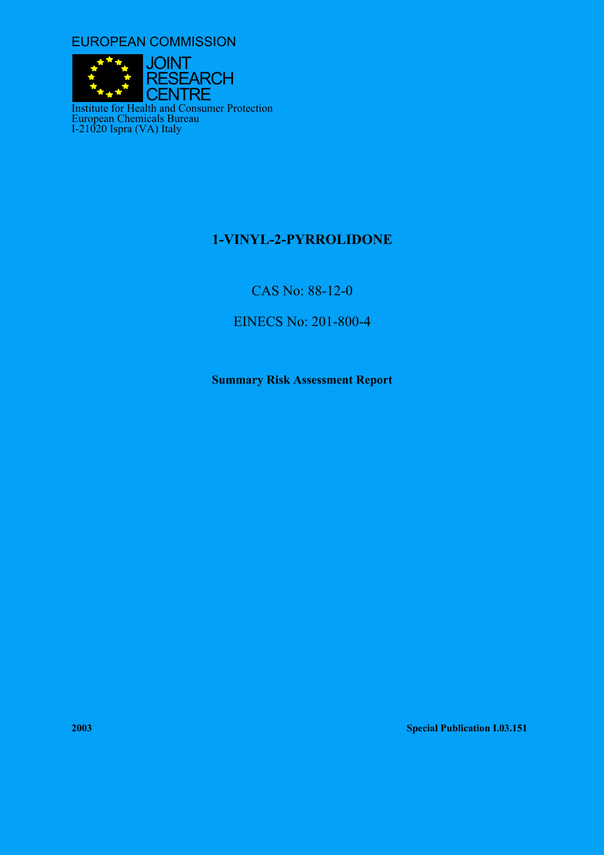EUROPEAN COMMISSION



# **1-VINYL-2-PYRROLIDONE**

CAS No: 88-12-0

EINECS No: 201-800-4

**Summary Risk Assessment Report** 

**2003 Special Publication I.03.151**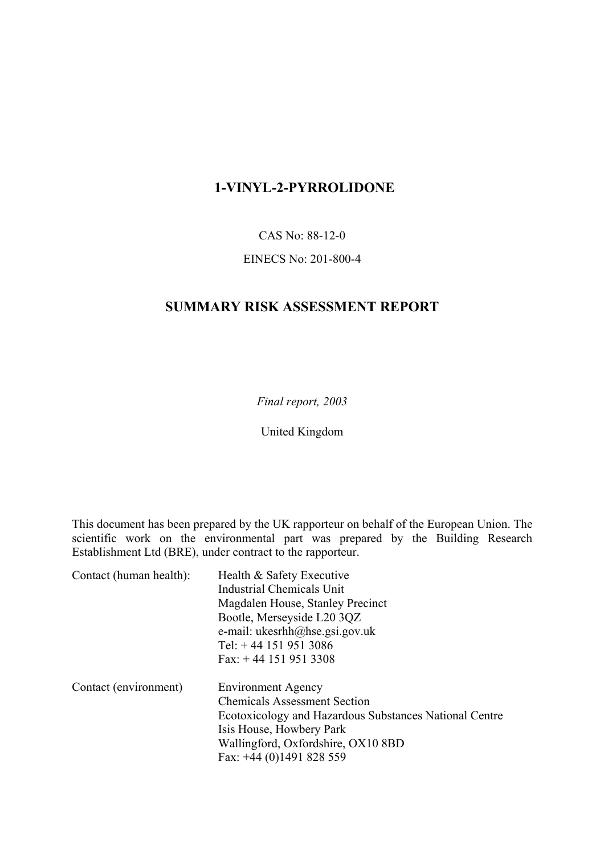# **1-VINYL-2-PYRROLIDONE**

CAS No: 88-12-0

## EINECS No: 201-800-4

## **SUMMARY RISK ASSESSMENT REPORT**

*Final report, 2003*

United Kingdom

This document has been prepared by the UK rapporteur on behalf of the European Union. The scientific work on the environmental part was prepared by the Building Research Establishment Ltd (BRE), under contract to the rapporteur.

| Contact (human health): | Health & Safety Executive                                     |  |  |
|-------------------------|---------------------------------------------------------------|--|--|
|                         | Industrial Chemicals Unit<br>Magdalen House, Stanley Precinct |  |  |
|                         |                                                               |  |  |
|                         | Bootle, Merseyside L20 3QZ                                    |  |  |
|                         | e-mail: $ukesrhh@hse.gsi.gov.uk$                              |  |  |
|                         | Tel: $+44$ 151 951 3086                                       |  |  |
|                         | Fax: $+44$ 151 951 3308                                       |  |  |
| Contact (environment)   | <b>Environment Agency</b>                                     |  |  |
|                         | <b>Chemicals Assessment Section</b>                           |  |  |
|                         | Ecotoxicology and Hazardous Substances National Centre        |  |  |
|                         | Isis House, Howbery Park                                      |  |  |
|                         | Wallingford, Oxfordshire, OX10 8BD                            |  |  |
|                         | Fax: $+44$ (0)1491 828 559                                    |  |  |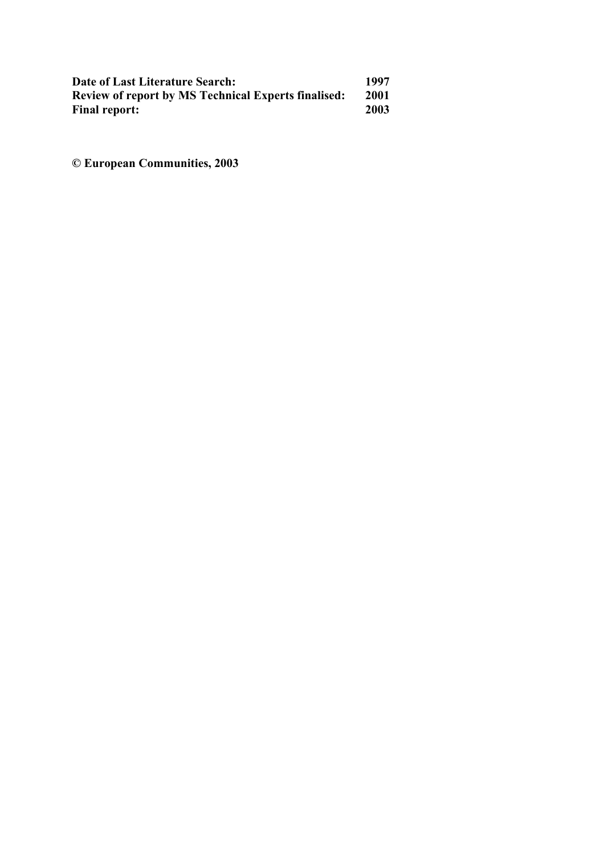| Date of Last Literature Search:                            | 1997 |
|------------------------------------------------------------|------|
| <b>Review of report by MS Technical Experts finalised:</b> | 2001 |
| <b>Final report:</b>                                       | 2003 |

**© European Communities, 2003**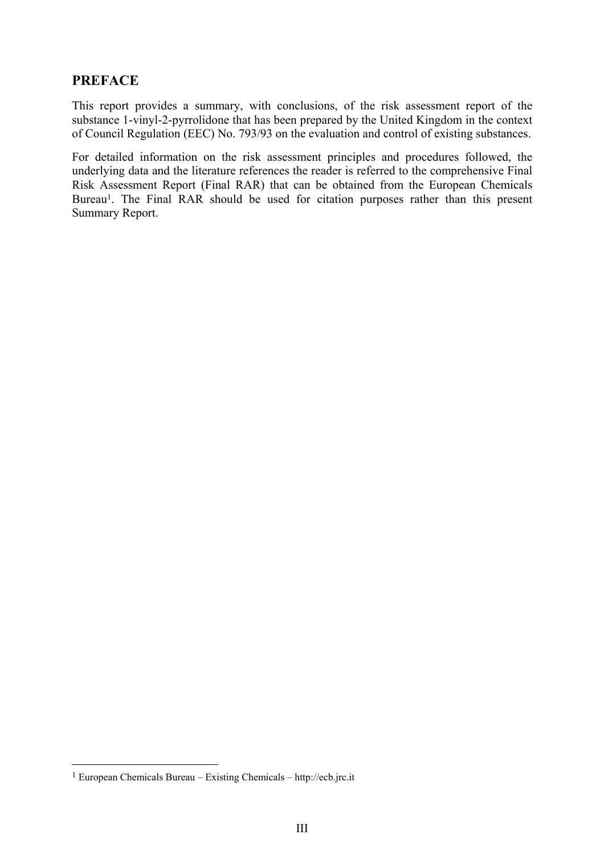## **PREFACE**

This report provides a summary, with conclusions, of the risk assessment report of the substance 1-vinyl-2-pyrrolidone that has been prepared by the United Kingdom in the context of Council Regulation (EEC) No. 793/93 on the evaluation and control of existing substances.

For detailed information on the risk assessment principles and procedures followed, the underlying data and the literature references the reader is referred to the comprehensive Final Risk Assessment Report (Final RAR) that can be obtained from the European Chemicals Bureau<sup>1</sup>. The Final RAR should be used for citation purposes rather than this present Summary Report.

 $\overline{a}$ 

<span id="page-4-0"></span> $1$  European Chemicals Bureau – Existing Chemicals – http://ecb.jrc.it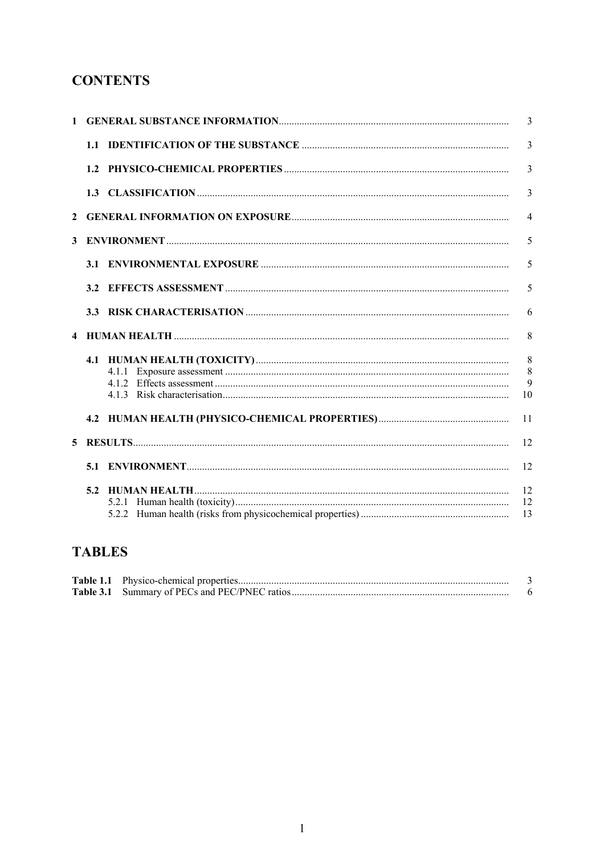# **CONTENTS**

|              |  |       | 3              |
|--------------|--|-------|----------------|
|              |  |       | $\overline{3}$ |
|              |  |       | $\overline{3}$ |
|              |  |       | $\overline{3}$ |
| $\mathbf{2}$ |  |       | $\overline{4}$ |
| 3            |  |       | 5              |
|              |  |       | 5              |
|              |  |       | 5              |
|              |  |       | 6              |
|              |  |       | 8              |
|              |  |       | 8              |
|              |  |       | 8              |
|              |  |       | 9              |
|              |  |       | 10             |
|              |  |       | 11             |
| 5            |  |       | 12             |
|              |  |       | 12             |
|              |  |       | 12             |
|              |  | 5.2.1 | 12             |
|              |  |       | 13             |

# **TABLES**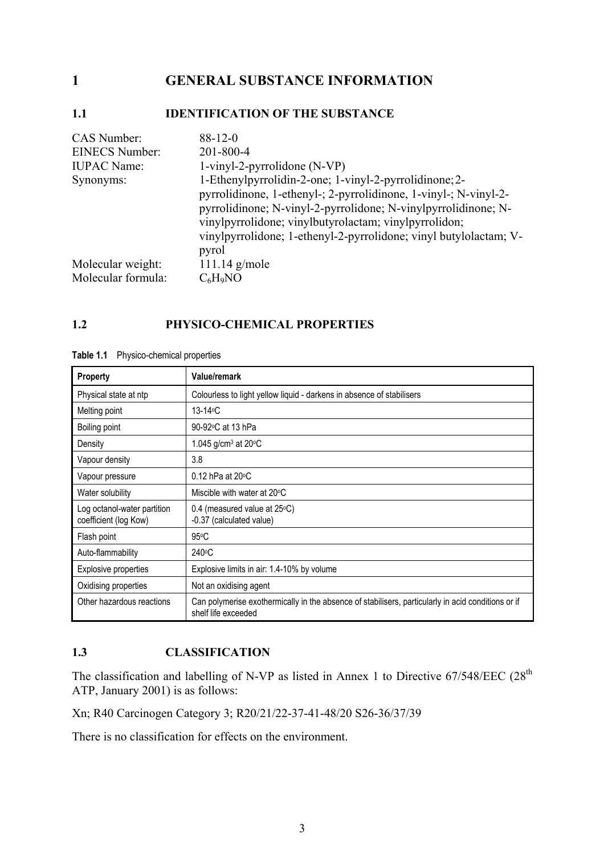## <span id="page-8-0"></span>**1 GENERAL SUBSTANCE INFORMATION**

## **1.1 IDENTIFICATION OF THE SUBSTANCE**

| <b>CAS Number:</b>    | $88-12-0$                                                                                                                                                                                                                                                                                                                  |
|-----------------------|----------------------------------------------------------------------------------------------------------------------------------------------------------------------------------------------------------------------------------------------------------------------------------------------------------------------------|
| <b>EINECS Number:</b> | 201-800-4                                                                                                                                                                                                                                                                                                                  |
| <b>IUPAC Name:</b>    | $1$ -vinyl-2-pyrrolidone (N-VP)                                                                                                                                                                                                                                                                                            |
| Synonyms:             | 1-Ethenylpyrrolidin-2-one; 1-vinyl-2-pyrrolidinone; 2-<br>pyrrolidinone, 1-ethenyl-; 2-pyrrolidinone, 1-vinyl-; N-vinyl-2-<br>pyrrolidinone; N-vinyl-2-pyrrolidone; N-vinylpyrrolidinone; N-<br>vinylpyrrolidone; vinylbutyrolactam; vinylpyrrolidon;<br>vinylpyrrolidone; 1-ethenyl-2-pyrrolidone; vinyl butylolactam; V- |
| Molecular weight:     | pyrol<br>$111.14$ g/mole                                                                                                                                                                                                                                                                                                   |
| Molecular formula:    | $C_6H_9NO$                                                                                                                                                                                                                                                                                                                 |

## **1.2 PHYSICO-CHEMICAL PROPERTIES**

| <b>Property</b>                                      | Value/remark                                                                                                              |
|------------------------------------------------------|---------------------------------------------------------------------------------------------------------------------------|
| Physical state at ntp                                | Colourless to light yellow liquid - darkens in absence of stabilisers                                                     |
| Melting point                                        | 13-14 $\circ$ C                                                                                                           |
| Boiling point                                        | 90-92 °C at 13 hPa                                                                                                        |
| Density                                              | 1.045 g/cm <sup>3</sup> at 20 $\degree$ C                                                                                 |
| Vapour density                                       | 3.8                                                                                                                       |
| Vapour pressure                                      | $0.12$ hPa at 20 $\degree$ C                                                                                              |
| Water solubility                                     | Miscible with water at 20°C                                                                                               |
| Log octanol-water partition<br>coefficient (log Kow) | 0.4 (measured value at 25°C)<br>-0.37 (calculated value)                                                                  |
| Flash point                                          | $95^{\circ}$ C                                                                                                            |
| Auto-flammability                                    | 240°C                                                                                                                     |
| <b>Explosive properties</b>                          | Explosive limits in air: 1.4-10% by volume                                                                                |
| Oxidising properties                                 | Not an oxidising agent                                                                                                    |
| Other hazardous reactions                            | Can polymerise exothermically in the absence of stabilisers, particularly in acid conditions or if<br>shelf life exceeded |

**Table 1.1** Physico-chemical properties

## **1.3 CLASSIFICATION**

The classification and labelling of N-VP as listed in Annex 1 to Directive  $67/548/EEC$  (28<sup>th</sup> ATP, January 2001) is as follows:

Xn; R40 Carcinogen Category 3; R20/21/22-37-41-48/20 S26-36/37/39

There is no classification for effects on the environment.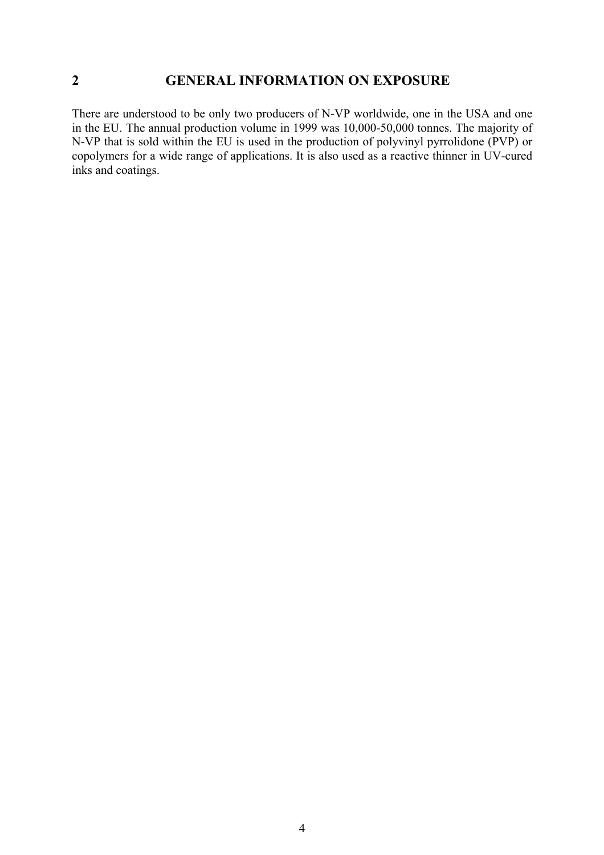## <span id="page-9-0"></span>**2 GENERAL INFORMATION ON EXPOSURE**

There are understood to be only two producers of N-VP worldwide, one in the USA and one in the EU. The annual production volume in 1999 was 10,000-50,000 tonnes. The majority of N-VP that is sold within the EU is used in the production of polyvinyl pyrrolidone (PVP) or copolymers for a wide range of applications. It is also used as a reactive thinner in UV-cured inks and coatings.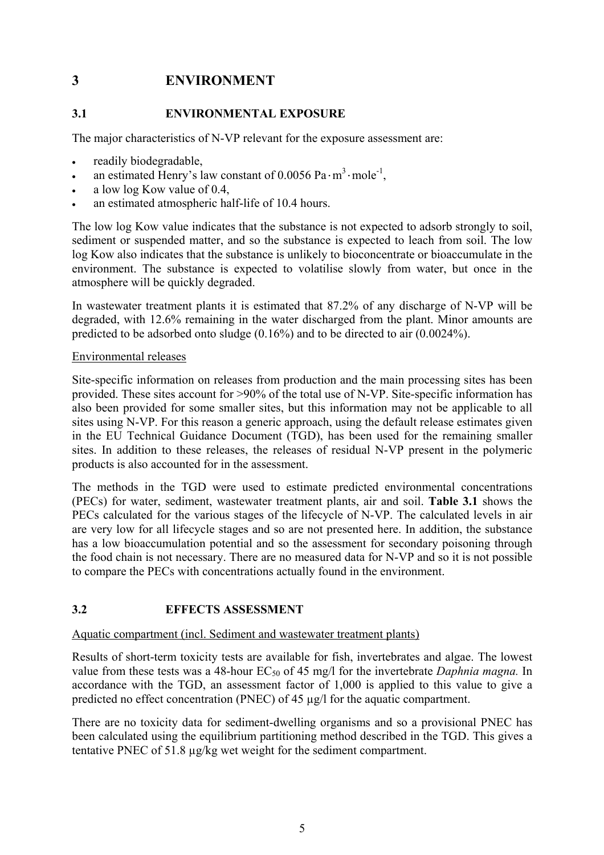## <span id="page-10-0"></span>**3 ENVIRONMENT**

## **3.1 ENVIRONMENTAL EXPOSURE**

The major characteristics of N-VP relevant for the exposure assessment are:

- readily biodegradable,
- an estimated Henry's law constant of  $0.0056$  Pa $\cdot$ m<sup>3</sup> $\cdot$ mole<sup>-1</sup>,
- a low log Kow value of 0.4,
- an estimated atmospheric half-life of 10.4 hours.

The low log Kow value indicates that the substance is not expected to adsorb strongly to soil, sediment or suspended matter, and so the substance is expected to leach from soil. The low log Kow also indicates that the substance is unlikely to bioconcentrate or bioaccumulate in the environment. The substance is expected to volatilise slowly from water, but once in the atmosphere will be quickly degraded.

In wastewater treatment plants it is estimated that 87.2% of any discharge of N-VP will be degraded, with 12.6% remaining in the water discharged from the plant. Minor amounts are predicted to be adsorbed onto sludge (0.16%) and to be directed to air (0.0024%).

## Environmental releases

Site-specific information on releases from production and the main processing sites has been provided. These sites account for >90% of the total use of N-VP. Site-specific information has also been provided for some smaller sites, but this information may not be applicable to all sites using N-VP. For this reason a generic approach, using the default release estimates given in the EU Technical Guidance Document (TGD), has been used for the remaining smaller sites. In addition to these releases, the releases of residual N-VP present in the polymeric products is also accounted for in the assessment.

The methods in the TGD were used to estimate predicted environmental concentrations (PECs) for water, sediment, wastewater treatment plants, air and soil. **Table 3.1** shows the PECs calculated for the various stages of the lifecycle of N-VP. The calculated levels in air are very low for all lifecycle stages and so are not presented here. In addition, the substance has a low bioaccumulation potential and so the assessment for secondary poisoning through the food chain is not necessary. There are no measured data for N-VP and so it is not possible to compare the PECs with concentrations actually found in the environment.

## **3.2 EFFECTS ASSESSMENT**

## Aquatic compartment (incl. Sediment and wastewater treatment plants)

Results of short-term toxicity tests are available for fish, invertebrates and algae. The lowest value from these tests was a 48-hour EC<sub>50</sub> of 45 mg/l for the invertebrate *Daphnia magna*. In accordance with the TGD, an assessment factor of 1,000 is applied to this value to give a predicted no effect concentration (PNEC) of 45 µg/l for the aquatic compartment.

There are no toxicity data for sediment-dwelling organisms and so a provisional PNEC has been calculated using the equilibrium partitioning method described in the TGD. This gives a tentative PNEC of 51.8 µg/kg wet weight for the sediment compartment.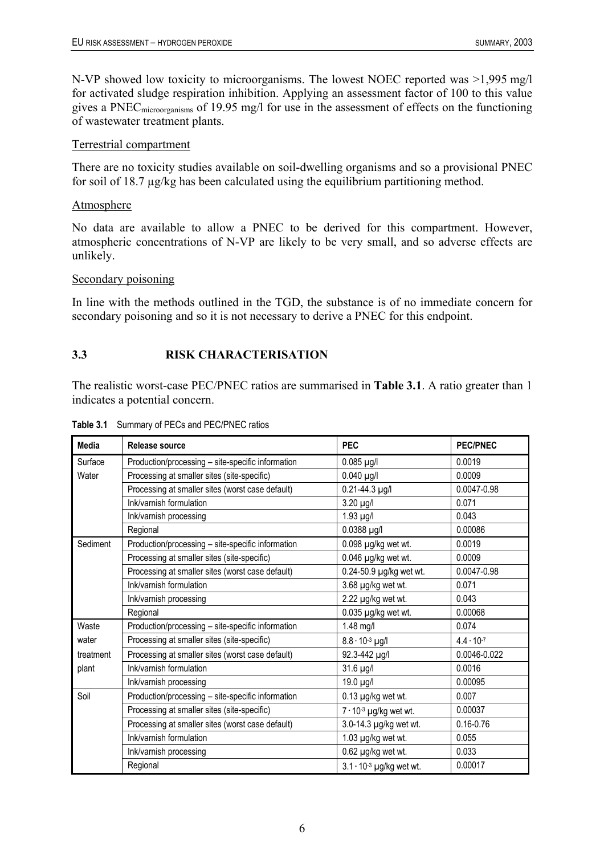<span id="page-11-0"></span>N-VP showed low toxicity to microorganisms. The lowest NOEC reported was >1,995 mg/l for activated sludge respiration inhibition. Applying an assessment factor of 100 to this value gives a PNECmicroorganisms of 19.95 mg/l for use in the assessment of effects on the functioning of wastewater treatment plants.

#### Terrestrial compartment

There are no toxicity studies available on soil-dwelling organisms and so a provisional PNEC for soil of 18.7 µg/kg has been calculated using the equilibrium partitioning method.

#### Atmosphere

No data are available to allow a PNEC to be derived for this compartment. However, atmospheric concentrations of N-VP are likely to be very small, and so adverse effects are unlikely.

#### Secondary poisoning

In line with the methods outlined in the TGD, the substance is of no immediate concern for secondary poisoning and so it is not necessary to derive a PNEC for this endpoint.

## **3.3 RISK CHARACTERISATION**

The realistic worst-case PEC/PNEC ratios are summarised in **Table 3.1**. A ratio greater than 1 indicates a potential concern.

| Media     | Release source                                    | <b>PEC</b>                        | <b>PEC/PNEC</b>     |
|-----------|---------------------------------------------------|-----------------------------------|---------------------|
| Surface   | Production/processing - site-specific information | $0.085$ µg/l                      | 0.0019              |
| Water     | Processing at smaller sites (site-specific)       | $0.040$ µg/l                      | 0.0009              |
|           | Processing at smaller sites (worst case default)  | $0.21 - 44.3$ µg/l                | 0.0047-0.98         |
|           | Ink/varnish formulation                           | 3.20 µg/l                         | 0.071               |
|           | Ink/varnish processing                            | 1.93 µg/l                         | 0.043               |
|           | Regional                                          | 0.0388 µg/l                       | 0.00086             |
| Sediment  | Production/processing - site-specific information | 0.098 µg/kg wet wt.               | 0.0019              |
|           | Processing at smaller sites (site-specific)       | 0.046 µg/kg wet wt.               | 0.0009              |
|           | Processing at smaller sites (worst case default)  | 0.24-50.9 µg/kg wet wt.           | 0.0047-0.98         |
|           | Ink/varnish formulation                           | 3.68 µg/kg wet wt.                | 0.071               |
|           | Ink/varnish processing                            | 2.22 µg/kg wet wt.                | 0.043               |
|           | Regional                                          | $0.035$ µg/kg wet wt.             | 0.00068             |
| Waste     | Production/processing - site-specific information | 1.48 mg/l                         | 0.074               |
| water     | Processing at smaller sites (site-specific)       | $8.8 \cdot 10^{-3}$ µg/l          | $4.4 \cdot 10^{-7}$ |
| treatment | Processing at smaller sites (worst case default)  | 92.3-442 µg/l                     | 0.0046-0.022        |
| plant     | Ink/varnish formulation                           | 31.6 µg/l                         | 0.0016              |
|           | Ink/varnish processing                            | 19.0 µg/l                         | 0.00095             |
| Soil      | Production/processing - site-specific information | $0.13$ µg/kg wet wt.              | 0.007               |
|           | Processing at smaller sites (site-specific)       | $7 \cdot 10^{-3}$ µg/kg wet wt.   | 0.00037             |
|           | Processing at smaller sites (worst case default)  | 3.0-14.3 µg/kg wet wt.            | $0.16 - 0.76$       |
|           | Ink/varnish formulation                           | 1.03 µg/kg wet wt.                | 0.055               |
|           | Ink/varnish processing                            | 0.62 µg/kg wet wt.                | 0.033               |
|           | Regional                                          | $3.1 \cdot 10^{-3}$ µg/kg wet wt. | 0.00017             |

**Table 3.1** Summary of PECs and PEC/PNEC ratios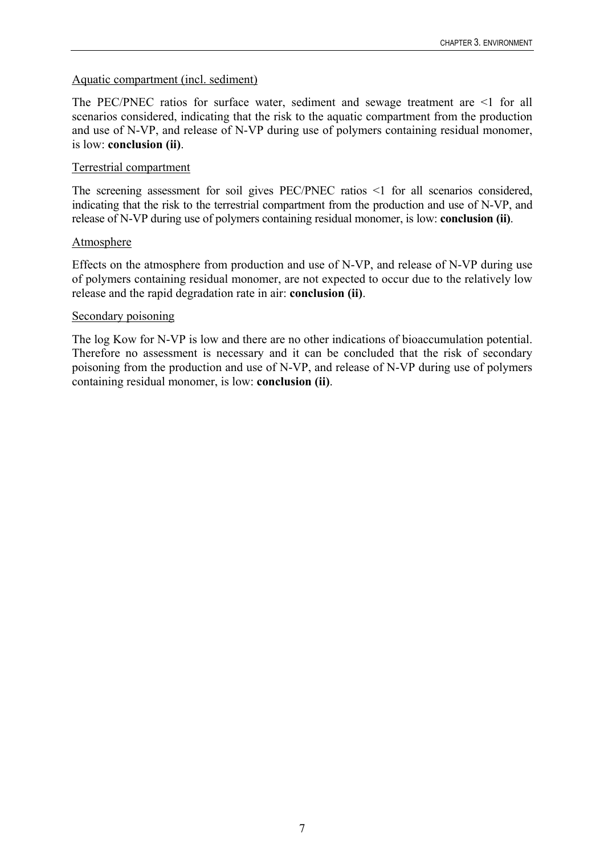## Aquatic compartment (incl. sediment)

The PEC/PNEC ratios for surface water, sediment and sewage treatment are <1 for all scenarios considered, indicating that the risk to the aquatic compartment from the production and use of N-VP, and release of N-VP during use of polymers containing residual monomer, is low: **conclusion (ii)**.

## Terrestrial compartment

The screening assessment for soil gives PEC/PNEC ratios  $\leq 1$  for all scenarios considered, indicating that the risk to the terrestrial compartment from the production and use of N-VP, and release of N-VP during use of polymers containing residual monomer, is low: **conclusion (ii)**.

## Atmosphere

Effects on the atmosphere from production and use of N-VP, and release of N-VP during use of polymers containing residual monomer, are not expected to occur due to the relatively low release and the rapid degradation rate in air: **conclusion (ii)**.

## Secondary poisoning

The log Kow for N-VP is low and there are no other indications of bioaccumulation potential. Therefore no assessment is necessary and it can be concluded that the risk of secondary poisoning from the production and use of N-VP, and release of N-VP during use of polymers containing residual monomer, is low: **conclusion (ii)**.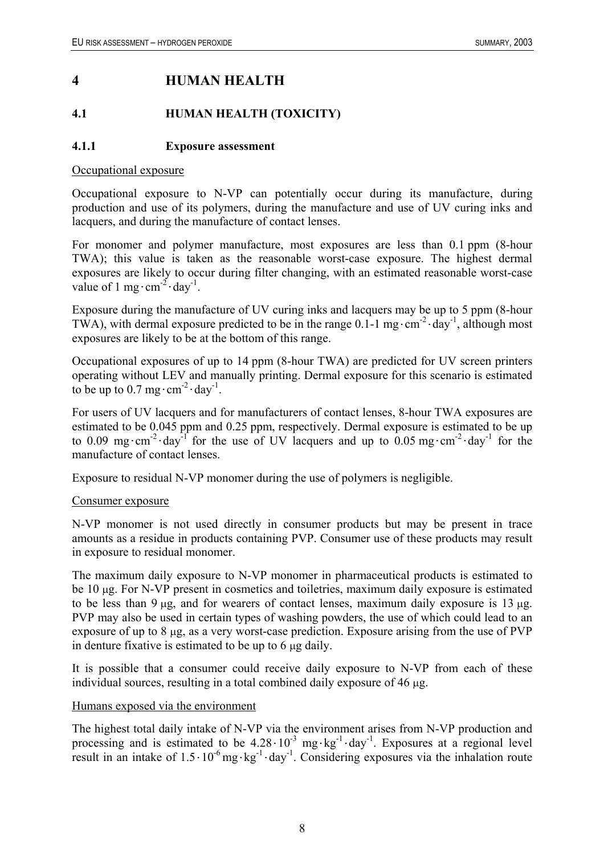## <span id="page-13-0"></span>**4 HUMAN HEALTH**

## **4.1 HUMAN HEALTH (TOXICITY)**

## **4.1.1 Exposure assessment**

#### Occupational exposure

Occupational exposure to N-VP can potentially occur during its manufacture, during production and use of its polymers, during the manufacture and use of UV curing inks and lacquers, and during the manufacture of contact lenses.

For monomer and polymer manufacture, most exposures are less than 0.1 ppm (8-hour TWA); this value is taken as the reasonable worst-case exposure. The highest dermal exposures are likely to occur during filter changing, with an estimated reasonable worst-case value of 1 mg $\cdot$  cm<sup>-2</sup> $\cdot$  day<sup>-1</sup>.

Exposure during the manufacture of UV curing inks and lacquers may be up to 5 ppm (8-hour TWA), with dermal exposure predicted to be in the range 0.1-1 mg $\cdot$ cm<sup>-2</sup> $\cdot$ day<sup>-1</sup>, although most exposures are likely to be at the bottom of this range.

Occupational exposures of up to 14 ppm (8-hour TWA) are predicted for UV screen printers operating without LEV and manually printing. Dermal exposure for this scenario is estimated to be up to  $0.7 \text{ mg} \cdot \text{cm}^{-2} \cdot \text{day}^{-1}$ .

For users of UV lacquers and for manufacturers of contact lenses, 8-hour TWA exposures are estimated to be 0.045 ppm and 0.25 ppm, respectively. Dermal exposure is estimated to be up to 0.09 mg·cm<sup>-2</sup>·day<sup>-1</sup> for the use of UV lacquers and up to 0.05 mg·cm<sup>-2</sup>·day<sup>-1</sup> for the manufacture of contact lenses.

Exposure to residual N-VP monomer during the use of polymers is negligible.

## Consumer exposure

N-VP monomer is not used directly in consumer products but may be present in trace amounts as a residue in products containing PVP. Consumer use of these products may result in exposure to residual monomer.

The maximum daily exposure to N-VP monomer in pharmaceutical products is estimated to be 10 µg. For N-VP present in cosmetics and toiletries, maximum daily exposure is estimated to be less than  $9 \mu$ g, and for wearers of contact lenses, maximum daily exposure is 13  $\mu$ g. PVP may also be used in certain types of washing powders, the use of which could lead to an exposure of up to 8 µg, as a very worst-case prediction. Exposure arising from the use of PVP in denture fixative is estimated to be up to 6 µg daily.

It is possible that a consumer could receive daily exposure to N-VP from each of these individual sources, resulting in a total combined daily exposure of 46 µg.

## Humans exposed via the environment

The highest total daily intake of N-VP via the environment arises from N-VP production and processing and is estimated to be  $4.28 \cdot 10^{-3}$  mg $\cdot$ kg<sup>-1</sup> $\cdot$ day<sup>-1</sup>. Exposures at a regional level result in an intake of  $1.5 \cdot 10^{-6}$  mg $\cdot$ kg<sup>-1</sup>. day<sup>-1</sup>. Considering exposures via the inhalation route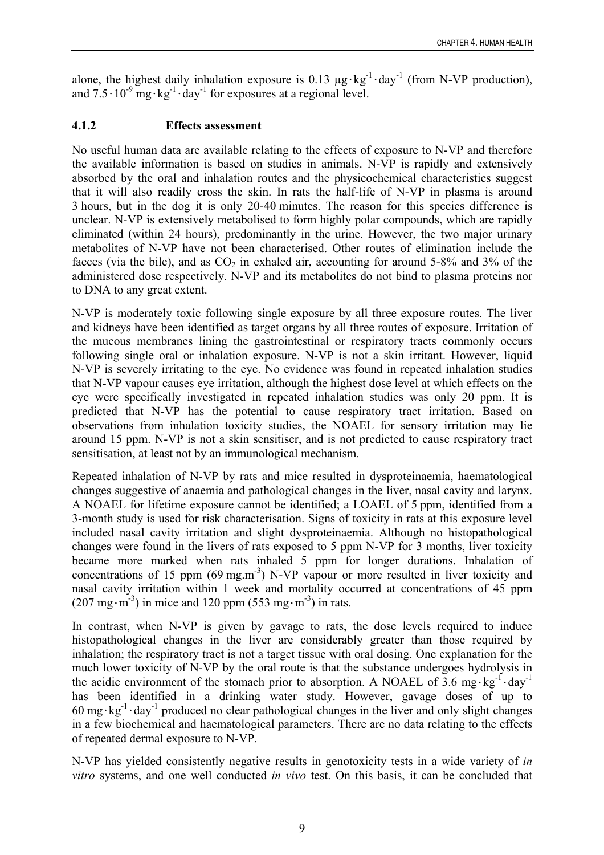<span id="page-14-0"></span>alone, the highest daily inhalation exposure is 0.13  $\mu$ g·kg<sup>-1</sup>·day<sup>-1</sup> (from N-VP production), and  $7.5 \cdot 10^{-9}$  mg $\cdot$ kg<sup>-1</sup> $\cdot$ day<sup>-1</sup> for exposures at a regional level.

## **4.1.2 Effects assessment**

No useful human data are available relating to the effects of exposure to N-VP and therefore the available information is based on studies in animals. N-VP is rapidly and extensively absorbed by the oral and inhalation routes and the physicochemical characteristics suggest that it will also readily cross the skin. In rats the half-life of N-VP in plasma is around 3 hours, but in the dog it is only 20-40 minutes. The reason for this species difference is unclear. N-VP is extensively metabolised to form highly polar compounds, which are rapidly eliminated (within 24 hours), predominantly in the urine. However, the two major urinary metabolites of N-VP have not been characterised. Other routes of elimination include the faeces (via the bile), and as  $CO<sub>2</sub>$  in exhaled air, accounting for around 5-8% and 3% of the administered dose respectively. N-VP and its metabolites do not bind to plasma proteins nor to DNA to any great extent.

N-VP is moderately toxic following single exposure by all three exposure routes. The liver and kidneys have been identified as target organs by all three routes of exposure. Irritation of the mucous membranes lining the gastrointestinal or respiratory tracts commonly occurs following single oral or inhalation exposure. N-VP is not a skin irritant. However, liquid N-VP is severely irritating to the eye. No evidence was found in repeated inhalation studies that N-VP vapour causes eye irritation, although the highest dose level at which effects on the eye were specifically investigated in repeated inhalation studies was only 20 ppm. It is predicted that N-VP has the potential to cause respiratory tract irritation. Based on observations from inhalation toxicity studies, the NOAEL for sensory irritation may lie around 15 ppm. N-VP is not a skin sensitiser, and is not predicted to cause respiratory tract sensitisation, at least not by an immunological mechanism.

Repeated inhalation of N-VP by rats and mice resulted in dysproteinaemia, haematological changes suggestive of anaemia and pathological changes in the liver, nasal cavity and larynx. A NOAEL for lifetime exposure cannot be identified; a LOAEL of 5 ppm, identified from a 3-month study is used for risk characterisation. Signs of toxicity in rats at this exposure level included nasal cavity irritation and slight dysproteinaemia. Although no histopathological changes were found in the livers of rats exposed to 5 ppm N-VP for 3 months, liver toxicity became more marked when rats inhaled 5 ppm for longer durations. Inhalation of concentrations of 15 ppm  $(69 \text{ mg.m}^3)$  N-VP vapour or more resulted in liver toxicity and nasal cavity irritation within 1 week and mortality occurred at concentrations of 45 ppm  $(207 \text{ mg} \cdot \text{m}^{-3})$  in mice and 120 ppm  $(553 \text{ mg} \cdot \text{m}^{-3})$  in rats.

In contrast, when N-VP is given by gavage to rats, the dose levels required to induce histopathological changes in the liver are considerably greater than those required by inhalation; the respiratory tract is not a target tissue with oral dosing. One explanation for the much lower toxicity of N-VP by the oral route is that the substance undergoes hydrolysis in the acidic environment of the stomach prior to absorption. A NOAEL of 3.6 mg $\cdot$ kg<sup>-1</sup> $\cdot$ day<sup>-1</sup> has been identified in a drinking water study. However, gavage doses of up to  $60 \text{ mg} \cdot \text{kg}^{-1} \cdot \text{day}^{-1}$  produced no clear pathological changes in the liver and only slight changes in a few biochemical and haematological parameters. There are no data relating to the effects of repeated dermal exposure to N-VP.

N-VP has yielded consistently negative results in genotoxicity tests in a wide variety of *in vitro* systems, and one well conducted *in vivo* test. On this basis, it can be concluded that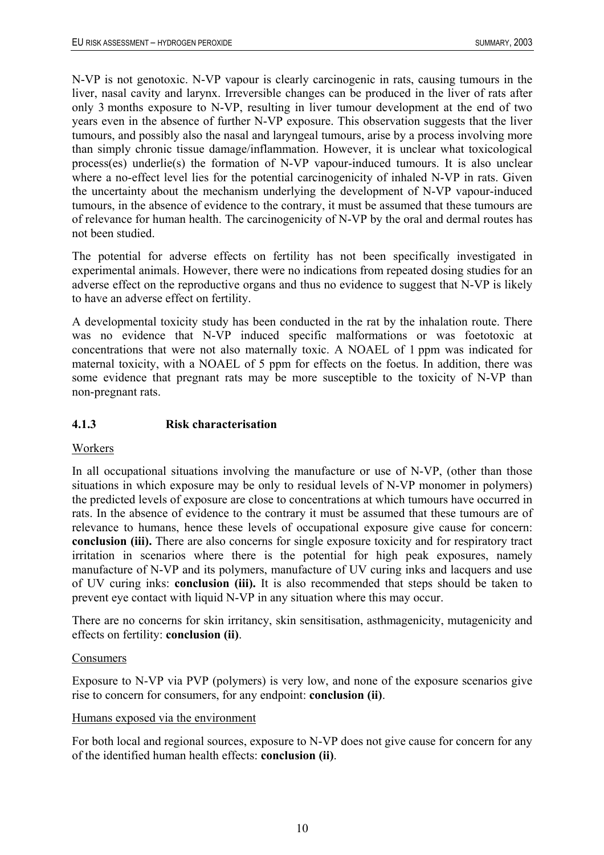<span id="page-15-0"></span>N-VP is not genotoxic. N-VP vapour is clearly carcinogenic in rats, causing tumours in the liver, nasal cavity and larynx. Irreversible changes can be produced in the liver of rats after only 3 months exposure to N-VP, resulting in liver tumour development at the end of two years even in the absence of further N-VP exposure. This observation suggests that the liver tumours, and possibly also the nasal and laryngeal tumours, arise by a process involving more than simply chronic tissue damage/inflammation. However, it is unclear what toxicological process(es) underlie(s) the formation of N-VP vapour-induced tumours. It is also unclear where a no-effect level lies for the potential carcinogenicity of inhaled N-VP in rats. Given the uncertainty about the mechanism underlying the development of N-VP vapour-induced tumours, in the absence of evidence to the contrary, it must be assumed that these tumours are of relevance for human health. The carcinogenicity of N-VP by the oral and dermal routes has not been studied.

The potential for adverse effects on fertility has not been specifically investigated in experimental animals. However, there were no indications from repeated dosing studies for an adverse effect on the reproductive organs and thus no evidence to suggest that N-VP is likely to have an adverse effect on fertility.

A developmental toxicity study has been conducted in the rat by the inhalation route. There was no evidence that N-VP induced specific malformations or was foetotoxic at concentrations that were not also maternally toxic. A NOAEL of 1 ppm was indicated for maternal toxicity, with a NOAEL of 5 ppm for effects on the foetus. In addition, there was some evidence that pregnant rats may be more susceptible to the toxicity of N-VP than non-pregnant rats.

## **4.1.3 Risk characterisation**

## Workers

In all occupational situations involving the manufacture or use of N-VP, (other than those situations in which exposure may be only to residual levels of N-VP monomer in polymers) the predicted levels of exposure are close to concentrations at which tumours have occurred in rats. In the absence of evidence to the contrary it must be assumed that these tumours are of relevance to humans, hence these levels of occupational exposure give cause for concern: **conclusion (iii).** There are also concerns for single exposure toxicity and for respiratory tract irritation in scenarios where there is the potential for high peak exposures, namely manufacture of N-VP and its polymers, manufacture of UV curing inks and lacquers and use of UV curing inks: **conclusion (iii).** It is also recommended that steps should be taken to prevent eye contact with liquid N-VP in any situation where this may occur.

There are no concerns for skin irritancy, skin sensitisation, asthmagenicity, mutagenicity and effects on fertility: **conclusion (ii)**.

## Consumers

Exposure to N-VP via PVP (polymers) is very low, and none of the exposure scenarios give rise to concern for consumers, for any endpoint: **conclusion (ii)**.

## Humans exposed via the environment

For both local and regional sources, exposure to N-VP does not give cause for concern for any of the identified human health effects: **conclusion (ii)**.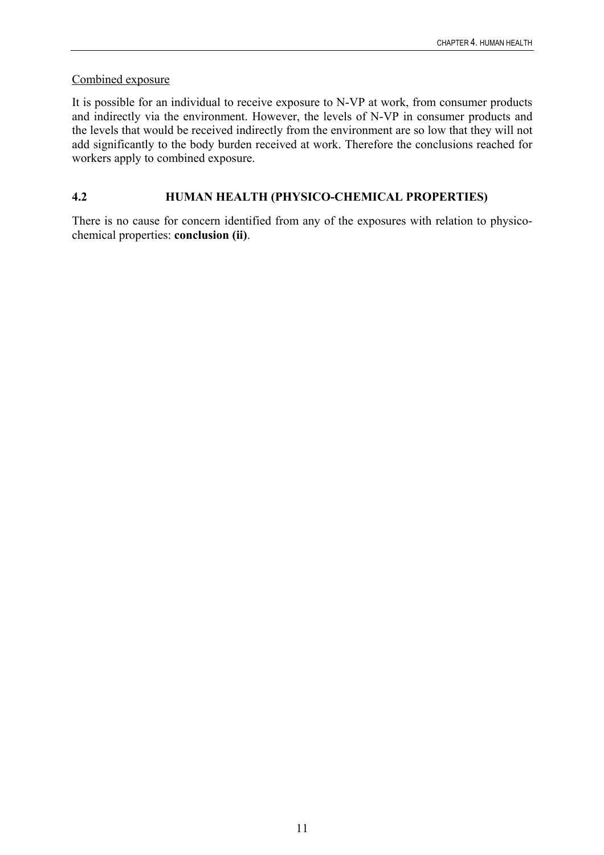## <span id="page-16-0"></span>Combined exposure

It is possible for an individual to receive exposure to N-VP at work, from consumer products and indirectly via the environment. However, the levels of N-VP in consumer products and the levels that would be received indirectly from the environment are so low that they will not add significantly to the body burden received at work. Therefore the conclusions reached for workers apply to combined exposure.

## **4.2 HUMAN HEALTH (PHYSICO-CHEMICAL PROPERTIES)**

There is no cause for concern identified from any of the exposures with relation to physicochemical properties: **conclusion (ii)**.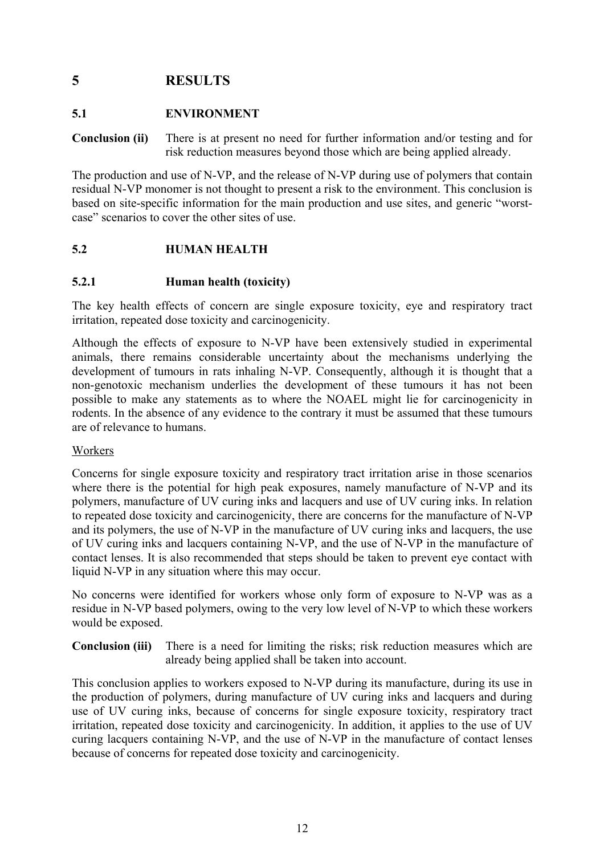## <span id="page-17-0"></span>**5 RESULTS**

## **5.1 ENVIRONMENT**

**Conclusion (ii)** There is at present no need for further information and/or testing and for risk reduction measures beyond those which are being applied already.

The production and use of N-VP, and the release of N-VP during use of polymers that contain residual N-VP monomer is not thought to present a risk to the environment. This conclusion is based on site-specific information for the main production and use sites, and generic "worstcase" scenarios to cover the other sites of use.

## **5.2 HUMAN HEALTH**

## **5.2.1 Human health (toxicity)**

The key health effects of concern are single exposure toxicity, eye and respiratory tract irritation, repeated dose toxicity and carcinogenicity.

Although the effects of exposure to N-VP have been extensively studied in experimental animals, there remains considerable uncertainty about the mechanisms underlying the development of tumours in rats inhaling N-VP. Consequently, although it is thought that a non-genotoxic mechanism underlies the development of these tumours it has not been possible to make any statements as to where the NOAEL might lie for carcinogenicity in rodents. In the absence of any evidence to the contrary it must be assumed that these tumours are of relevance to humans.

## Workers

Concerns for single exposure toxicity and respiratory tract irritation arise in those scenarios where there is the potential for high peak exposures, namely manufacture of N-VP and its polymers, manufacture of UV curing inks and lacquers and use of UV curing inks. In relation to repeated dose toxicity and carcinogenicity, there are concerns for the manufacture of N-VP and its polymers, the use of N-VP in the manufacture of UV curing inks and lacquers, the use of UV curing inks and lacquers containing N-VP, and the use of N-VP in the manufacture of contact lenses. It is also recommended that steps should be taken to prevent eye contact with liquid N-VP in any situation where this may occur.

No concerns were identified for workers whose only form of exposure to N-VP was as a residue in N-VP based polymers, owing to the very low level of N-VP to which these workers would be exposed.

**Conclusion (iii)** There is a need for limiting the risks; risk reduction measures which are already being applied shall be taken into account.

This conclusion applies to workers exposed to N-VP during its manufacture, during its use in the production of polymers, during manufacture of UV curing inks and lacquers and during use of UV curing inks, because of concerns for single exposure toxicity, respiratory tract irritation, repeated dose toxicity and carcinogenicity. In addition, it applies to the use of UV curing lacquers containing N-VP, and the use of N-VP in the manufacture of contact lenses because of concerns for repeated dose toxicity and carcinogenicity.